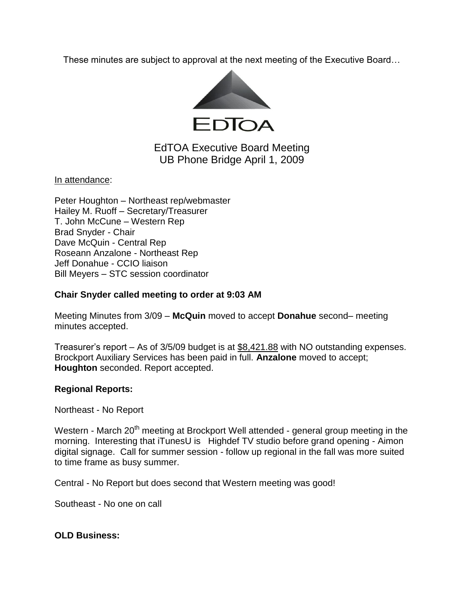These minutes are subject to approval at the next meeting of the Executive Board…



# EdTOA Executive Board Meeting UB Phone Bridge April 1, 2009

In attendance:

Peter Houghton – Northeast rep/webmaster Hailey M. Ruoff – Secretary/Treasurer T. John McCune – Western Rep Brad Snyder - Chair Dave McQuin - Central Rep Roseann Anzalone - Northeast Rep Jeff Donahue - CCIO liaison Bill Meyers – STC session coordinator

#### **Chair Snyder called meeting to order at 9:03 AM**

Meeting Minutes from 3/09 – **McQuin** moved to accept **Donahue** second– meeting minutes accepted.

Treasurer's report – As of 3/5/09 budget is at \$8,421.88 with NO outstanding expenses. Brockport Auxiliary Services has been paid in full. **Anzalone** moved to accept; **Houghton** seconded. Report accepted.

### **Regional Reports:**

Northeast - No Report

Western - March 20<sup>th</sup> meeting at Brockport Well attended - general group meeting in the morning. Interesting that iTunesU is Highdef TV studio before grand opening - Aimon digital signage. Call for summer session - follow up regional in the fall was more suited to time frame as busy summer.

Central - No Report but does second that Western meeting was good!

Southeast - No one on call

#### **OLD Business:**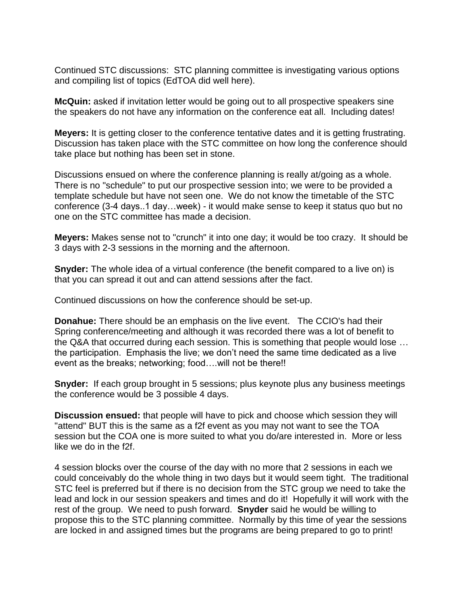Continued STC discussions: STC planning committee is investigating various options and compiling list of topics (EdTOA did well here).

**McQuin:** asked if invitation letter would be going out to all prospective speakers sine the speakers do not have any information on the conference eat all. Including dates!

**Meyers:** It is getting closer to the conference tentative dates and it is getting frustrating. Discussion has taken place with the STC committee on how long the conference should take place but nothing has been set in stone.

Discussions ensued on where the conference planning is really at/going as a whole. There is no "schedule" to put our prospective session into; we were to be provided a template schedule but have not seen one. We do not know the timetable of the STC conference (3-4 days..1 day…week) - it would make sense to keep it status quo but no one on the STC committee has made a decision.

**Meyers:** Makes sense not to "crunch" it into one day; it would be too crazy. It should be 3 days with 2-3 sessions in the morning and the afternoon.

**Snyder:** The whole idea of a virtual conference (the benefit compared to a live on) is that you can spread it out and can attend sessions after the fact.

Continued discussions on how the conference should be set-up.

**Donahue:** There should be an emphasis on the live event. The CCIO's had their Spring conference/meeting and although it was recorded there was a lot of benefit to the Q&A that occurred during each session. This is something that people would lose … the participation. Emphasis the live; we don't need the same time dedicated as a live event as the breaks; networking; food….will not be there!!

**Snyder:** If each group brought in 5 sessions; plus keynote plus any business meetings the conference would be 3 possible 4 days.

**Discussion ensued:** that people will have to pick and choose which session they will "attend" BUT this is the same as a f2f event as you may not want to see the TOA session but the COA one is more suited to what you do/are interested in. More or less like we do in the f2f.

4 session blocks over the course of the day with no more that 2 sessions in each we could conceivably do the whole thing in two days but it would seem tight. The traditional STC feel is preferred but if there is no decision from the STC group we need to take the lead and lock in our session speakers and times and do it! Hopefully it will work with the rest of the group. We need to push forward. **Snyder** said he would be willing to propose this to the STC planning committee. Normally by this time of year the sessions are locked in and assigned times but the programs are being prepared to go to print!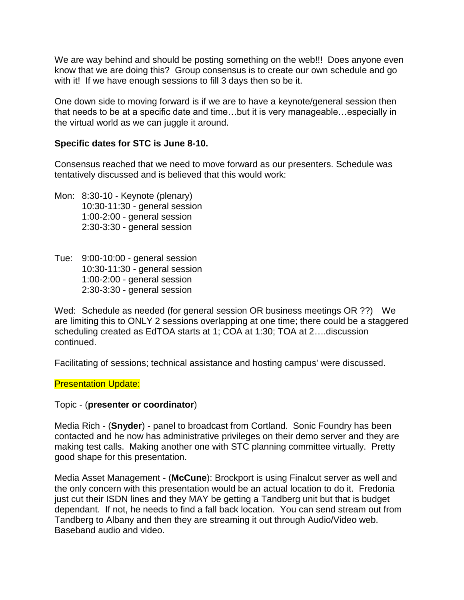We are way behind and should be posting something on the web!!! Does anyone even know that we are doing this? Group consensus is to create our own schedule and go with it! If we have enough sessions to fill 3 days then so be it.

One down side to moving forward is if we are to have a keynote/general session then that needs to be at a specific date and time…but it is very manageable…especially in the virtual world as we can juggle it around.

## **Specific dates for STC is June 8-10.**

Consensus reached that we need to move forward as our presenters. Schedule was tentatively discussed and is believed that this would work:

- Mon: 8:30-10 Keynote (plenary) 10:30-11:30 - general session 1:00-2:00 - general session 2:30-3:30 - general session
- Tue: 9:00-10:00 general session 10:30-11:30 - general session 1:00-2:00 - general session 2:30-3:30 - general session

Wed: Schedule as needed (for general session OR business meetings OR ??) We are limiting this to ONLY 2 sessions overlapping at one time; there could be a staggered scheduling created as EdTOA starts at 1; COA at 1:30; TOA at 2….discussion continued.

Facilitating of sessions; technical assistance and hosting campus' were discussed.

### Presentation Update:

### Topic - (**presenter or coordinator**)

Media Rich - (**Snyder**) - panel to broadcast from Cortland. Sonic Foundry has been contacted and he now has administrative privileges on their demo server and they are making test calls. Making another one with STC planning committee virtually. Pretty good shape for this presentation.

Media Asset Management - (**McCune**): Brockport is using Finalcut server as well and the only concern with this presentation would be an actual location to do it. Fredonia just cut their ISDN lines and they MAY be getting a Tandberg unit but that is budget dependant. If not, he needs to find a fall back location. You can send stream out from Tandberg to Albany and then they are streaming it out through Audio/Video web. Baseband audio and video.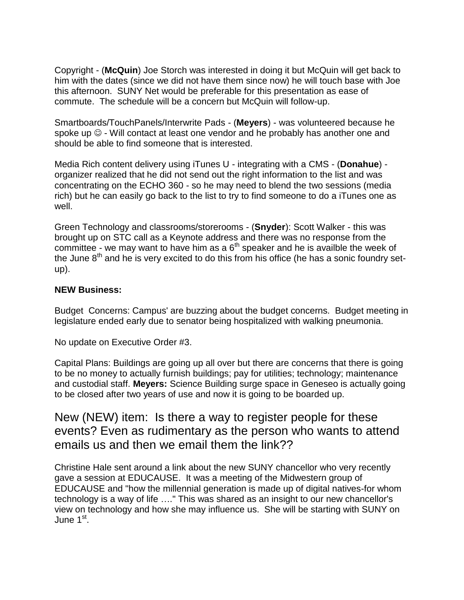Copyright - (**McQuin**) Joe Storch was interested in doing it but McQuin will get back to him with the dates (since we did not have them since now) he will touch base with Joe this afternoon. SUNY Net would be preferable for this presentation as ease of commute. The schedule will be a concern but McQuin will follow-up.

Smartboards/TouchPanels/Interwrite Pads - (**Meyers**) - was volunteered because he spoke up  $\odot$  - Will contact at least one vendor and he probably has another one and should be able to find someone that is interested.

Media Rich content delivery using iTunes U - integrating with a CMS - (**Donahue**) organizer realized that he did not send out the right information to the list and was concentrating on the ECHO 360 - so he may need to blend the two sessions (media rich) but he can easily go back to the list to try to find someone to do a iTunes one as well.

Green Technology and classrooms/storerooms - (**Snyder**): Scott Walker - this was brought up on STC call as a Keynote address and there was no response from the committee - we may want to have him as a  $6<sup>th</sup>$  speaker and he is availble the week of the June  $8<sup>th</sup>$  and he is very excited to do this from his office (he has a sonic foundry setup).

### **NEW Business:**

Budget Concerns: Campus' are buzzing about the budget concerns. Budget meeting in legislature ended early due to senator being hospitalized with walking pneumonia.

No update on Executive Order #3.

Capital Plans: Buildings are going up all over but there are concerns that there is going to be no money to actually furnish buildings; pay for utilities; technology; maintenance and custodial staff. **Meyers:** Science Building surge space in Geneseo is actually going to be closed after two years of use and now it is going to be boarded up.

# New (NEW) item: Is there a way to register people for these events? Even as rudimentary as the person who wants to attend emails us and then we email them the link??

Christine Hale sent around a link about the new SUNY chancellor who very recently gave a session at EDUCAUSE. It was a meeting of the Midwestern group of EDUCAUSE and "how the millennial generation is made up of digital natives-for whom technology is a way of life …." This was shared as an insight to our new chancellor's view on technology and how she may influence us. She will be starting with SUNY on June 1<sup>st</sup>.